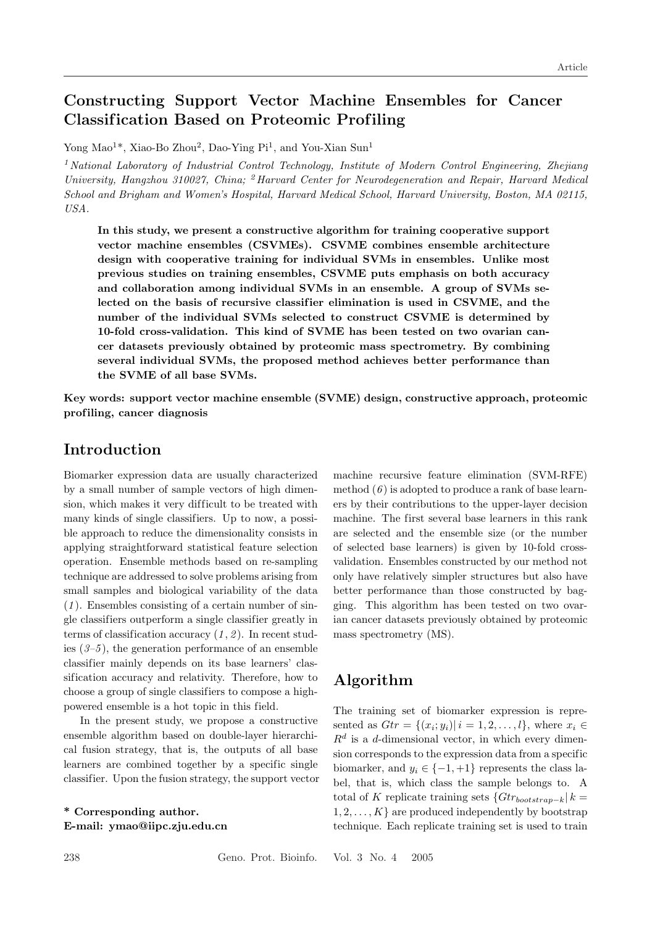# Constructing Support Vector Machine Ensembles for Cancer Classif ication Based on Proteomic Prof iling

Yong Mao<sup>1\*</sup>, Xiao-Bo Zhou<sup>2</sup>, Dao-Ying Pi<sup>1</sup>, and You-Xian Sun<sup>1</sup>

<sup>1</sup> National Laboratory of Industrial Control Technology, Institute of Modern Control Engineering, Zhejiang University, Hangzhou 310027, China; <sup>2</sup> Harvard Center for Neurodegeneration and Repair, Harvard Medical School and Brigham and Women's Hospital, Harvard Medical School, Harvard University, Boston, MA 02115, USA.

In this study, we present a constructive algorithm for training cooperative support vector machine ensembles (CSVMEs). CSVME combines ensemble architecture design with cooperative training for individual SVMs in ensembles. Unlike most previous studies on training ensembles, CSVME puts emphasis on both accuracy and collaboration among individual SVMs in an ensemble. A group of SVMs selected on the basis of recursive classifier elimination is used in CSVME, and the number of the individual SVMs selected to construct CSVME is determined by 10-fold cross-validation. This kind of SVME has been tested on two ovarian cancer datasets previously obtained by proteomic mass spectrometry. By combining several individual SVMs, the proposed method achieves better performance than the SVME of all base SVMs.

Key words: support vector machine ensemble (SVME) design, constructive approach, proteomic prof iling, cancer diagnosis

### Introduction

Biomarker expression data are usually characterized by a small number of sample vectors of high dimension, which makes it very difficult to be treated with many kinds of single classifiers. Up to now, a possible approach to reduce the dimensionality consists in applying straightforward statistical feature selection operation. Ensemble methods based on re-sampling technique are addressed to solve problems arising from small samples and biological variability of the data  $(1)$ . Ensembles consisting of a certain number of single classifiers outperform a single classifier greatly in terms of classification accuracy  $(1, 2)$ . In recent studies  $(3-5)$ , the generation performance of an ensemble classifier mainly depends on its base learners' classification accuracy and relativity. Therefore, how to choose a group of single classifiers to compose a highpowered ensemble is a hot topic in this field.

In the present study, we propose a constructive ensemble algorithm based on double-layer hierarchical fusion strategy, that is, the outputs of all base learners are combined together by a specific single classifier. Upon the fusion strategy, the support vector

\* Corresponding author. E-mail: ymao@iipc.zju.edu.cn machine recursive feature elimination (SVM-RFE) method  $(6)$  is adopted to produce a rank of base learners by their contributions to the upper-layer decision machine. The first several base learners in this rank are selected and the ensemble size (or the number of selected base learners) is given by 10-fold crossvalidation. Ensembles constructed by our method not only have relatively simpler structures but also have better performance than those constructed by bagging. This algorithm has been tested on two ovarian cancer datasets previously obtained by proteomic mass spectrometry (MS).

## Algorithm

The training set of biomarker expression is represented as  $Gtr = \{(x_i; y_i) | i = 1, 2, ..., l\}$ , where  $x_i \in$  $R<sup>d</sup>$  is a d-dimensional vector, in which every dimension corresponds to the expression data from a specific biomarker, and  $y_i \in \{-1, +1\}$  represents the class label, that is, which class the sample belongs to. A total of K replicate training sets  ${Gtr_{bootstrap-k} | k =}$  $1, 2, \ldots, K$  are produced independently by bootstrap technique. Each replicate training set is used to train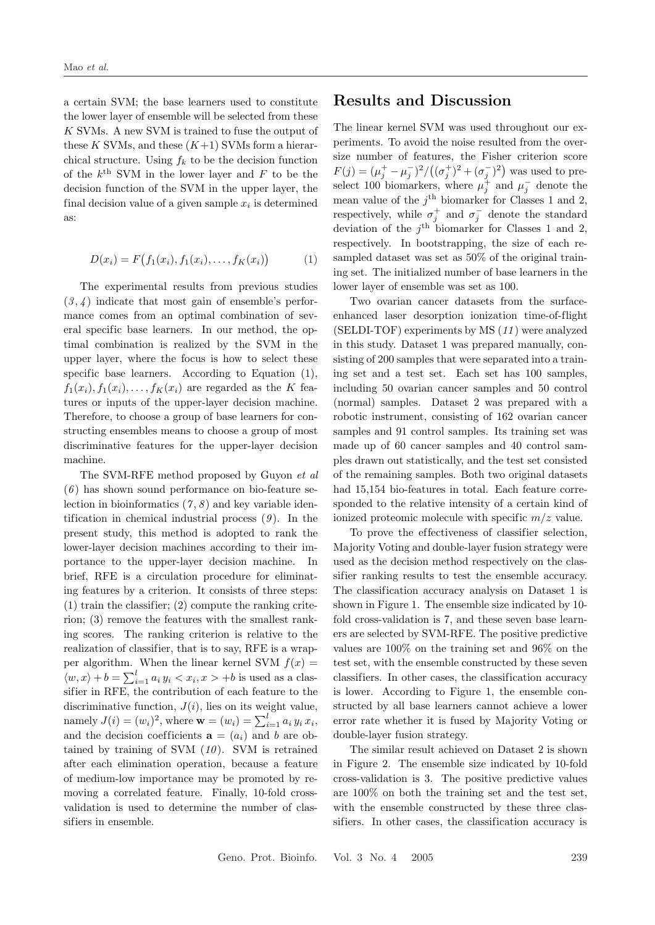a certain SVM; the base learners used to constitute the lower layer of ensemble will be selected from these K SVMs. A new SVM is trained to fuse the output of these  $K$  SVMs, and these  $(K+1)$  SVMs form a hierarchical structure. Using  $f_k$  to be the decision function of the  $k^{\text{th}}$  SVM in the lower layer and F to be the decision function of the SVM in the upper layer, the final decision value of a given sample  $x_i$  is determined as:

$$
D(x_i) = F(f_1(x_i), f_1(x_i), \dots, f_K(x_i))
$$
 (1)

The experimental results from previous studies  $(3, 4)$  indicate that most gain of ensemble's performance comes from an optimal combination of several specific base learners. In our method, the optimal combination is realized by the SVM in the upper layer, where the focus is how to select these specific base learners. According to Equation (1),  $f_1(x_i), f_1(x_i), \ldots, f_K(x_i)$  are regarded as the K features or inputs of the upper-layer decision machine. Therefore, to choose a group of base learners for constructing ensembles means to choose a group of most discriminative features for the upper-layer decision machine.

The SVM-RFE method proposed by Guyon et al  $(6)$  has shown sound performance on bio-feature selection in bioinformatics  $(7, 8)$  and key variable identification in chemical industrial process  $(9)$ . In the present study, this method is adopted to rank the lower-layer decision machines according to their importance to the upper-layer decision machine. In brief, RFE is a circulation procedure for eliminating features by a criterion. It consists of three steps: (1) train the classifier; (2) compute the ranking criterion; (3) remove the features with the smallest ranking scores. The ranking criterion is relative to the realization of classifier, that is to say, RFE is a wrapper algorithm. When the linear kernel SVM  $f(x) =$  $\langle w, x \rangle + b = \sum_{i=1}^{l} a_i y_i \langle x_i, x \rangle + b$  is used as a classifier in RFE, the contribution of each feature to the discriminative function,  $J(i)$ , lies on its weight value, mandely  $J(i) = (w_i)^2$ , where  $\mathbf{w} = (w_i) = \sum_{i=1}^{l} a_i y_i x_i$ , and the decision coefficients  $\mathbf{a} = (a_i)$  and b are obtained by training of SVM  $(10)$ . SVM is retrained after each elimination operation, because a feature of medium-low importance may be promoted by removing a correlated feature. Finally, 10-fold crossvalidation is used to determine the number of classifiers in ensemble.

#### Results and Discussion

The linear kernel SVM was used throughout our experiments. To avoid the noise resulted from the oversize number of features, the Fisher criterion score size number of lead  $(\sigma_j^+)^2 + (\sigma_j^-)^2$ was used to preselect 100 biomarkers, where  $\mu_j^+$  and  $\mu_j^-$  denote the mean value of the  $j^{\text{th}}$  biomarker for Classes 1 and 2, respectively, while  $\sigma_j^+$  and  $\sigma_j^-$  denote the standard deviation of the  $j<sup>th</sup>$  biomarker for Classes 1 and 2, respectively. In bootstrapping, the size of each resampled dataset was set as 50% of the original training set. The initialized number of base learners in the lower layer of ensemble was set as 100.

Two ovarian cancer datasets from the surfaceenhanced laser desorption ionization time-of-flight (SELDI-TOF) experiments by MS (11 ) were analyzed in this study. Dataset 1 was prepared manually, consisting of 200 samples that were separated into a training set and a test set. Each set has 100 samples, including 50 ovarian cancer samples and 50 control (normal) samples. Dataset 2 was prepared with a robotic instrument, consisting of 162 ovarian cancer samples and 91 control samples. Its training set was made up of 60 cancer samples and 40 control samples drawn out statistically, and the test set consisted of the remaining samples. Both two original datasets had 15,154 bio-features in total. Each feature corresponded to the relative intensity of a certain kind of ionized proteomic molecule with specific  $m/z$  value.

To prove the effectiveness of classifier selection, Majority Voting and double-layer fusion strategy were used as the decision method respectively on the classifier ranking results to test the ensemble accuracy. The classification accuracy analysis on Dataset 1 is shown in Figure 1. The ensemble size indicated by 10 fold cross-validation is 7, and these seven base learners are selected by SVM-RFE. The positive predictive values are 100% on the training set and 96% on the test set, with the ensemble constructed by these seven classifiers. In other cases, the classification accuracy is lower. According to Figure 1, the ensemble constructed by all base learners cannot achieve a lower error rate whether it is fused by Majority Voting or double-layer fusion strategy.

The similar result achieved on Dataset 2 is shown in Figure 2. The ensemble size indicated by 10-fold cross-validation is 3. The positive predictive values are 100% on both the training set and the test set, with the ensemble constructed by these three classifiers. In other cases, the classification accuracy is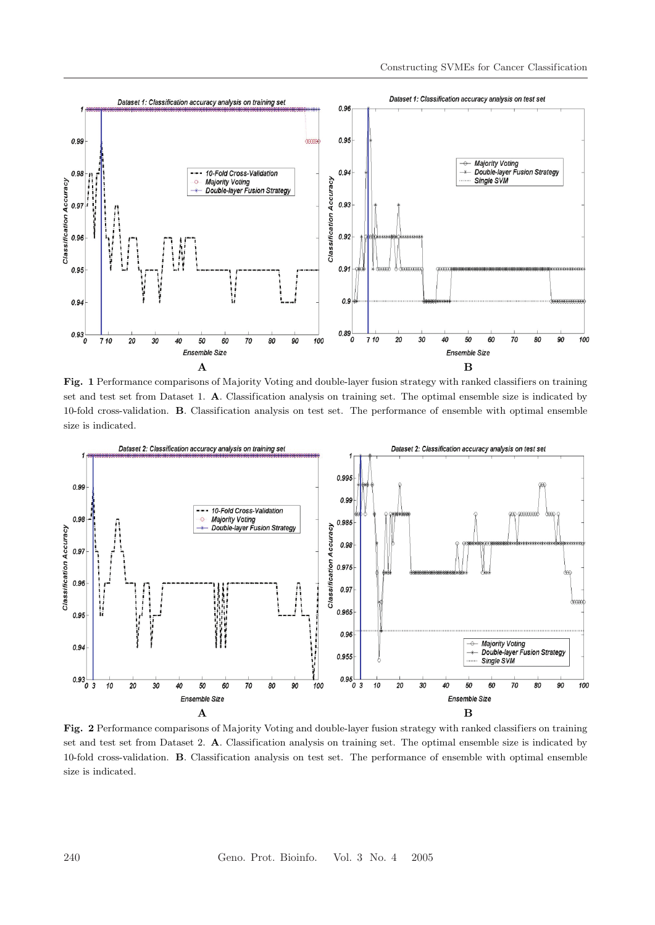

Fig. 1 Performance comparisons of Majority Voting and double-layer fusion strategy with ranked classifiers on training set and test set from Dataset 1. A. Classification analysis on training set. The optimal ensemble size is indicated by 10-fold cross-validation. B. Classification analysis on test set. The performance of ensemble with optimal ensemble size is indicated.



Fig. 2 Performance comparisons of Majority Voting and double-layer fusion strategy with ranked classifiers on training set and test set from Dataset 2. A. Classification analysis on training set. The optimal ensemble size is indicated by 10-fold cross-validation. B. Classification analysis on test set. The performance of ensemble with optimal ensemble size is indicated.